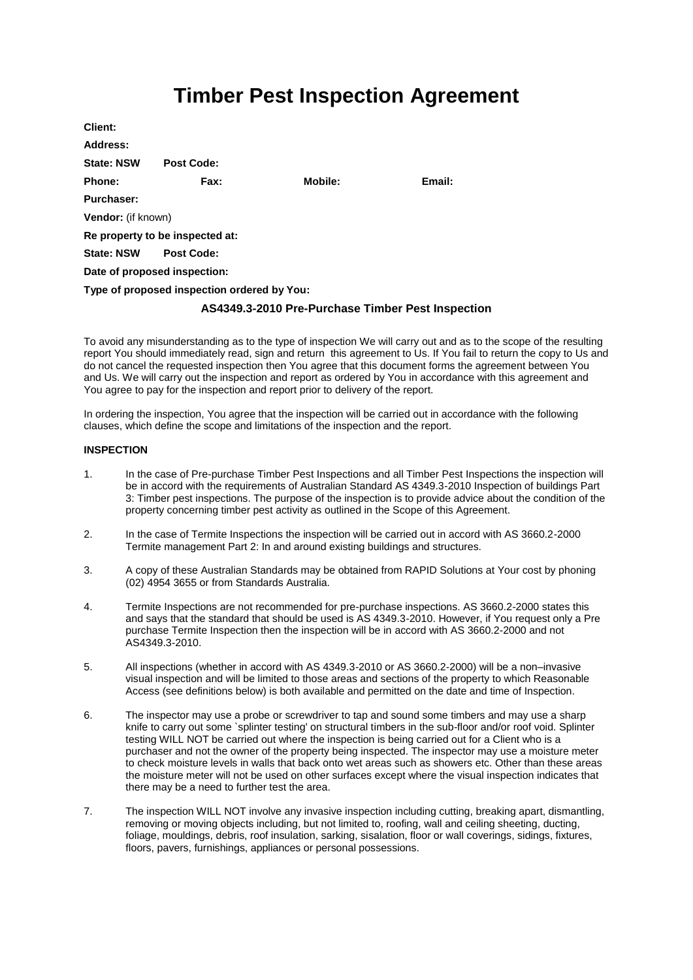# **Timber Pest Inspection Agreement**

| Client:            |                                             |         |        |  |  |
|--------------------|---------------------------------------------|---------|--------|--|--|
| Address:           |                                             |         |        |  |  |
| <b>State: NSW</b>  | <b>Post Code:</b>                           |         |        |  |  |
| Phone:             | Fax:                                        | Mobile: | Email: |  |  |
| <b>Purchaser:</b>  |                                             |         |        |  |  |
| Vendor: (if known) |                                             |         |        |  |  |
|                    | Re property to be inspected at:             |         |        |  |  |
| <b>State: NSW</b>  | <b>Post Code:</b>                           |         |        |  |  |
|                    | Date of proposed inspection:                |         |        |  |  |
|                    | Type of proposed inspection ordered by You: |         |        |  |  |
|                    |                                             |         |        |  |  |

# **AS4349.3-2010 Pre-Purchase Timber Pest Inspection**

To avoid any misunderstanding as to the type of inspection We will carry out and as to the scope of the resulting report You should immediately read, sign and return this agreement to Us. If You fail to return the copy to Us and do not cancel the requested inspection then You agree that this document forms the agreement between You and Us. We will carry out the inspection and report as ordered by You in accordance with this agreement and You agree to pay for the inspection and report prior to delivery of the report.

In ordering the inspection, You agree that the inspection will be carried out in accordance with the following clauses, which define the scope and limitations of the inspection and the report.

# **INSPECTION**

- 1. In the case of Pre-purchase Timber Pest Inspections and all Timber Pest Inspections the inspection will be in accord with the requirements of Australian Standard AS 4349.3-2010 Inspection of buildings Part 3: Timber pest inspections. The purpose of the inspection is to provide advice about the condition of the property concerning timber pest activity as outlined in the Scope of this Agreement.
- 2. In the case of Termite Inspections the inspection will be carried out in accord with AS 3660.2-2000 Termite management Part 2: In and around existing buildings and structures.
- 3. A copy of these Australian Standards may be obtained from RAPID Solutions at Your cost by phoning (02) 4954 3655 or from Standards Australia.
- 4. Termite Inspections are not recommended for pre-purchase inspections. AS 3660.2-2000 states this and says that the standard that should be used is AS 4349.3-2010. However, if You request only a Pre purchase Termite Inspection then the inspection will be in accord with AS 3660.2-2000 and not AS4349.3-2010.
- 5. All inspections (whether in accord with AS 4349.3-2010 or AS 3660.2-2000) will be a non–invasive visual inspection and will be limited to those areas and sections of the property to which Reasonable Access (see definitions below) is both available and permitted on the date and time of Inspection.
- 6. The inspector may use a probe or screwdriver to tap and sound some timbers and may use a sharp knife to carry out some `splinter testing' on structural timbers in the sub-floor and/or roof void. Splinter testing WILL NOT be carried out where the inspection is being carried out for a Client who is a purchaser and not the owner of the property being inspected. The inspector may use a moisture meter to check moisture levels in walls that back onto wet areas such as showers etc. Other than these areas the moisture meter will not be used on other surfaces except where the visual inspection indicates that there may be a need to further test the area.
- 7. The inspection WILL NOT involve any invasive inspection including cutting, breaking apart, dismantling, removing or moving objects including, but not limited to, roofing, wall and ceiling sheeting, ducting, foliage, mouldings, debris, roof insulation, sarking, sisalation, floor or wall coverings, sidings, fixtures, floors, pavers, furnishings, appliances or personal possessions.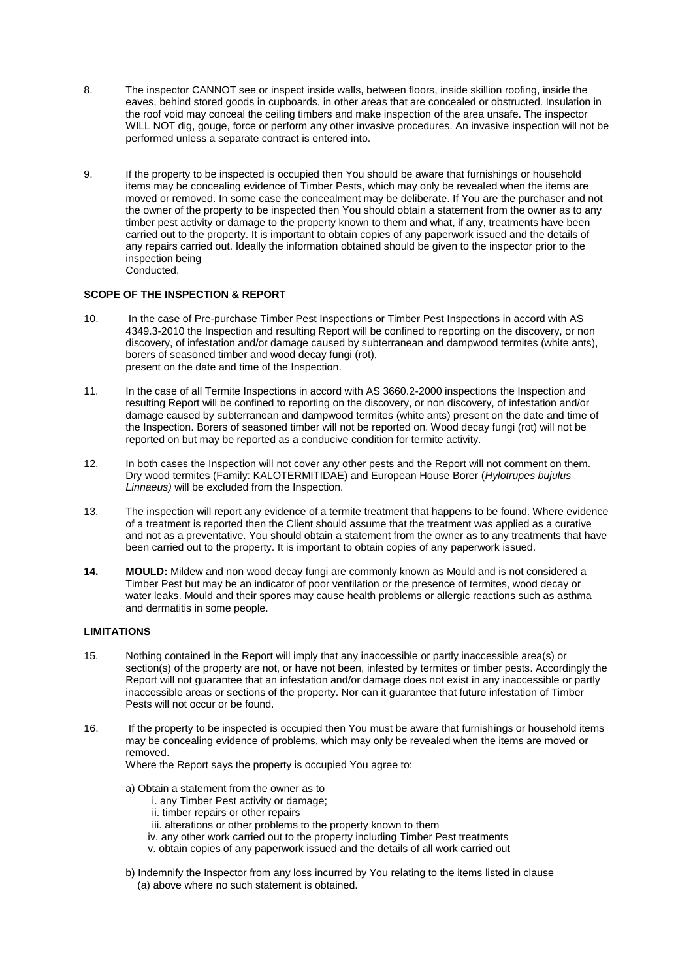- 8. The inspector CANNOT see or inspect inside walls, between floors, inside skillion roofing, inside the eaves, behind stored goods in cupboards, in other areas that are concealed or obstructed. Insulation in the roof void may conceal the ceiling timbers and make inspection of the area unsafe. The inspector WILL NOT dig, gouge, force or perform any other invasive procedures. An invasive inspection will not be performed unless a separate contract is entered into.
- 9. If the property to be inspected is occupied then You should be aware that furnishings or household items may be concealing evidence of Timber Pests, which may only be revealed when the items are moved or removed. In some case the concealment may be deliberate. If You are the purchaser and not the owner of the property to be inspected then You should obtain a statement from the owner as to any timber pest activity or damage to the property known to them and what, if any, treatments have been carried out to the property. It is important to obtain copies of any paperwork issued and the details of any repairs carried out. Ideally the information obtained should be given to the inspector prior to the inspection being Conducted.

# **SCOPE OF THE INSPECTION & REPORT**

- 10. In the case of Pre-purchase Timber Pest Inspections or Timber Pest Inspections in accord with AS 4349.3-2010 the Inspection and resulting Report will be confined to reporting on the discovery, or non discovery, of infestation and/or damage caused by subterranean and dampwood termites (white ants), borers of seasoned timber and wood decay fungi (rot), present on the date and time of the Inspection.
- 11. In the case of all Termite Inspections in accord with AS 3660.2-2000 inspections the Inspection and resulting Report will be confined to reporting on the discovery, or non discovery, of infestation and/or damage caused by subterranean and dampwood termites (white ants) present on the date and time of the Inspection. Borers of seasoned timber will not be reported on. Wood decay fungi (rot) will not be reported on but may be reported as a conducive condition for termite activity.
- 12. In both cases the Inspection will not cover any other pests and the Report will not comment on them. Dry wood termites (Family: KALOTERMITIDAE) and European House Borer (*Hylotrupes bujulus Linnaeus)* will be excluded from the Inspection.
- 13. The inspection will report any evidence of a termite treatment that happens to be found. Where evidence of a treatment is reported then the Client should assume that the treatment was applied as a curative and not as a preventative. You should obtain a statement from the owner as to any treatments that have been carried out to the property. It is important to obtain copies of any paperwork issued.
- **14. MOULD:** Mildew and non wood decay fungi are commonly known as Mould and is not considered a Timber Pest but may be an indicator of poor ventilation or the presence of termites, wood decay or water leaks. Mould and their spores may cause health problems or allergic reactions such as asthma and dermatitis in some people.

# **LIMITATIONS**

- 15. Nothing contained in the Report will imply that any inaccessible or partly inaccessible area(s) or section(s) of the property are not, or have not been, infested by termites or timber pests. Accordingly the Report will not guarantee that an infestation and/or damage does not exist in any inaccessible or partly inaccessible areas or sections of the property. Nor can it guarantee that future infestation of Timber Pests will not occur or be found.
- 16. If the property to be inspected is occupied then You must be aware that furnishings or household items may be concealing evidence of problems, which may only be revealed when the items are moved or removed.

Where the Report says the property is occupied You agree to:

- a) Obtain a statement from the owner as to
	- i. any Timber Pest activity or damage;
	- ii. timber repairs or other repairs
	- iii. alterations or other problems to the property known to them
	- iv. any other work carried out to the property including Timber Pest treatments
	- v. obtain copies of any paperwork issued and the details of all work carried out
- b) Indemnify the Inspector from any loss incurred by You relating to the items listed in clause (a) above where no such statement is obtained.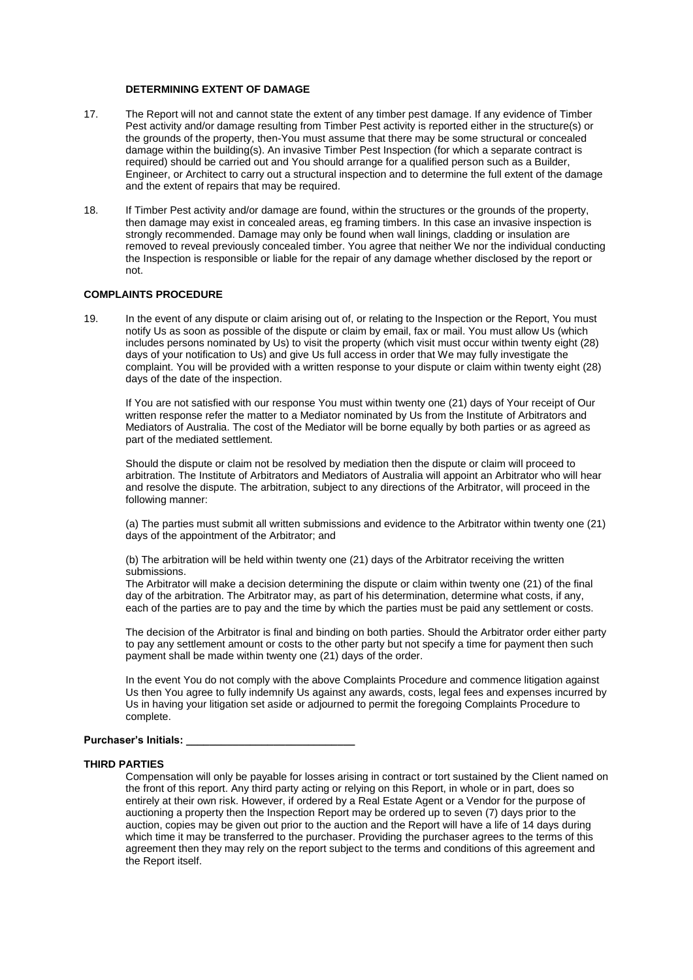### **DETERMINING EXTENT OF DAMAGE**

- 17. The Report will not and cannot state the extent of any timber pest damage. If any evidence of Timber Pest activity and/or damage resulting from Timber Pest activity is reported either in the structure(s) or the grounds of the property, then-You must assume that there may be some structural or concealed damage within the building(s). An invasive Timber Pest Inspection (for which a separate contract is required) should be carried out and You should arrange for a qualified person such as a Builder, Engineer, or Architect to carry out a structural inspection and to determine the full extent of the damage and the extent of repairs that may be required.
- 18. If Timber Pest activity and/or damage are found, within the structures or the grounds of the property, then damage may exist in concealed areas, eg framing timbers. In this case an invasive inspection is strongly recommended. Damage may only be found when wall linings, cladding or insulation are removed to reveal previously concealed timber. You agree that neither We nor the individual conducting the Inspection is responsible or liable for the repair of any damage whether disclosed by the report or not.

## **COMPLAINTS PROCEDURE**

19. In the event of any dispute or claim arising out of, or relating to the Inspection or the Report, You must notify Us as soon as possible of the dispute or claim by email, fax or mail. You must allow Us (which includes persons nominated by Us) to visit the property (which visit must occur within twenty eight (28) days of your notification to Us) and give Us full access in order that We may fully investigate the complaint. You will be provided with a written response to your dispute or claim within twenty eight (28) days of the date of the inspection.

If You are not satisfied with our response You must within twenty one (21) days of Your receipt of Our written response refer the matter to a Mediator nominated by Us from the Institute of Arbitrators and Mediators of Australia. The cost of the Mediator will be borne equally by both parties or as agreed as part of the mediated settlement.

Should the dispute or claim not be resolved by mediation then the dispute or claim will proceed to arbitration. The Institute of Arbitrators and Mediators of Australia will appoint an Arbitrator who will hear and resolve the dispute. The arbitration, subject to any directions of the Arbitrator, will proceed in the following manner:

(a) The parties must submit all written submissions and evidence to the Arbitrator within twenty one (21) days of the appointment of the Arbitrator; and

(b) The arbitration will be held within twenty one (21) days of the Arbitrator receiving the written submissions.

The Arbitrator will make a decision determining the dispute or claim within twenty one (21) of the final day of the arbitration. The Arbitrator may, as part of his determination, determine what costs, if any, each of the parties are to pay and the time by which the parties must be paid any settlement or costs.

The decision of the Arbitrator is final and binding on both parties. Should the Arbitrator order either party to pay any settlement amount or costs to the other party but not specify a time for payment then such payment shall be made within twenty one (21) days of the order.

In the event You do not comply with the above Complaints Procedure and commence litigation against Us then You agree to fully indemnify Us against any awards, costs, legal fees and expenses incurred by Us in having your litigation set aside or adjourned to permit the foregoing Complaints Procedure to complete.

#### **Purchaser's Initials: \_\_\_\_\_\_\_\_\_\_\_\_\_\_\_\_\_\_\_\_\_\_\_\_\_\_\_\_\_**

#### **THIRD PARTIES**

Compensation will only be payable for losses arising in contract or tort sustained by the Client named on the front of this report. Any third party acting or relying on this Report, in whole or in part, does so entirely at their own risk. However, if ordered by a Real Estate Agent or a Vendor for the purpose of auctioning a property then the Inspection Report may be ordered up to seven (7) days prior to the auction, copies may be given out prior to the auction and the Report will have a life of 14 days during which time it may be transferred to the purchaser. Providing the purchaser agrees to the terms of this agreement then they may rely on the report subject to the terms and conditions of this agreement and the Report itself.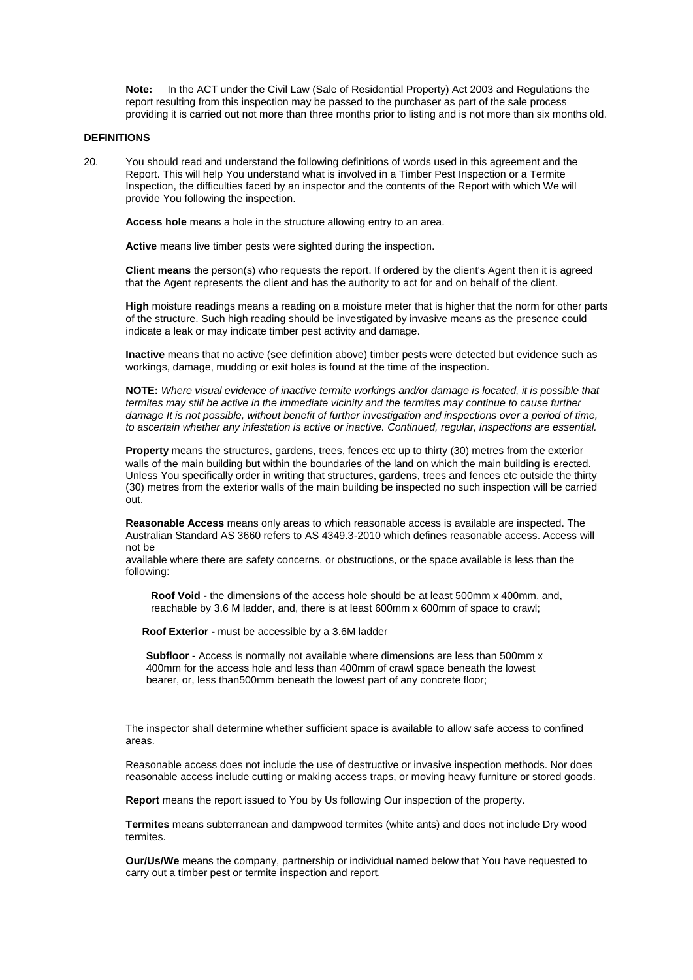**Note:** In the ACT under the Civil Law (Sale of Residential Property) Act 2003 and Regulations the report resulting from this inspection may be passed to the purchaser as part of the sale process providing it is carried out not more than three months prior to listing and is not more than six months old.

#### **DEFINITIONS**

20. You should read and understand the following definitions of words used in this agreement and the Report. This will help You understand what is involved in a Timber Pest Inspection or a Termite Inspection, the difficulties faced by an inspector and the contents of the Report with which We will provide You following the inspection.

**Access hole** means a hole in the structure allowing entry to an area.

**Active** means live timber pests were sighted during the inspection.

**Client means** the person(s) who requests the report. If ordered by the client's Agent then it is agreed that the Agent represents the client and has the authority to act for and on behalf of the client.

**High** moisture readings means a reading on a moisture meter that is higher that the norm for other parts of the structure. Such high reading should be investigated by invasive means as the presence could indicate a leak or may indicate timber pest activity and damage.

**Inactive** means that no active (see definition above) timber pests were detected but evidence such as workings, damage, mudding or exit holes is found at the time of the inspection.

**NOTE:** *Where visual evidence of inactive termite workings and/or damage is located, it is possible that termites may still be active in the immediate vicinity and the termites may continue to cause further damage It is not possible, without benefit of further investigation and inspections over a period of time, to ascertain whether any infestation is active or inactive. Continued, regular, inspections are essential.*

**Property** means the structures, gardens, trees, fences etc up to thirty (30) metres from the exterior walls of the main building but within the boundaries of the land on which the main building is erected. Unless You specifically order in writing that structures, gardens, trees and fences etc outside the thirty (30) metres from the exterior walls of the main building be inspected no such inspection will be carried out.

**Reasonable Access** means only areas to which reasonable access is available are inspected. The Australian Standard AS 3660 refers to AS 4349.3-2010 which defines reasonable access. Access will not be

available where there are safety concerns, or obstructions, or the space available is less than the following:

**Roof Void -** the dimensions of the access hole should be at least 500mm x 400mm, and, reachable by 3.6 M ladder, and, there is at least 600mm x 600mm of space to crawl;

 **Roof Exterior -** must be accessible by a 3.6M ladder

 **Subfloor -** Access is normally not available where dimensions are less than 500mm x 400mm for the access hole and less than 400mm of crawl space beneath the lowest bearer, or, less than500mm beneath the lowest part of any concrete floor;

The inspector shall determine whether sufficient space is available to allow safe access to confined areas.

Reasonable access does not include the use of destructive or invasive inspection methods. Nor does reasonable access include cutting or making access traps, or moving heavy furniture or stored goods.

**Report** means the report issued to You by Us following Our inspection of the property.

**Termites** means subterranean and dampwood termites (white ants) and does not include Dry wood termites.

**Our/Us/We** means the company, partnership or individual named below that You have requested to carry out a timber pest or termite inspection and report.